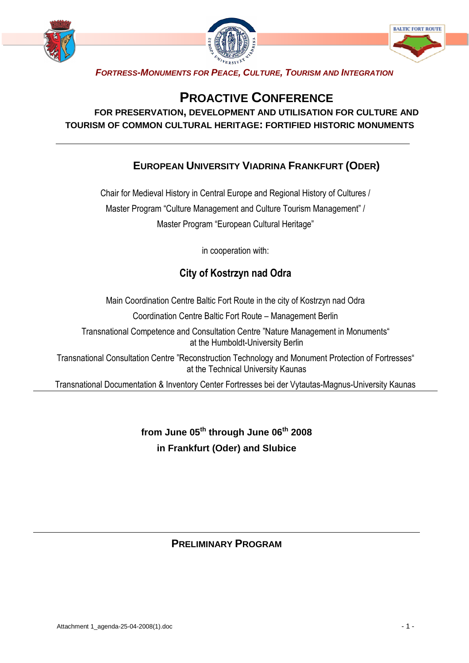

# **PROACTIVE CONFERENCE**

#### **FOR PRESERVATION, DEVELOPMENT AND UTILISATION FOR CULTURE AND TOURISM OF COMMON CULTURAL HERITAGE: FORTIFIED HISTORIC MONUMENTS**

### **EUROPEAN UNIVERSITY VIADRINA FRANKFURT (ODER)**

Chair for Medieval History in Central Europe and Regional History of Cultures / Master Program "Culture Management and Culture Tourism Management" / Master Program "European Cultural Heritage"

in cooperation with:

## City of Kostrzyn nad Odra

Main Coordination Centre Baltic Fort Route in the city of Kostrzyn nad Odra

Coordination Centre Baltic Fort Route – Management Berlin

Transnational Competence and Consultation Centre "Nature Management in Monuments" at the Humboldt-University Berlin

Transnational Consultation Centre "Reconstruction Technology and Monument Protection of Fortresses" at the Technical University Kaunas

Transnational Documentation & Inventory Center Fortresses bei der Vytautas-Magnus-University Kaunas

**from June 05th through June 06th 2008 in Frankfurt (Oder) and Slubice** 

#### **PRELIMINARY PROGRAM**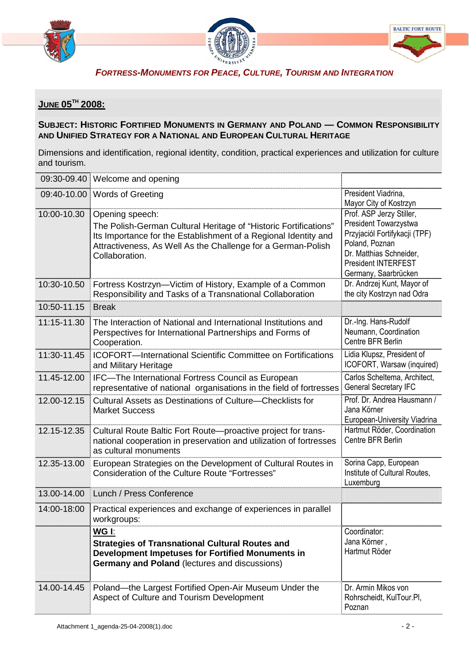





## **JUNE 05TH 2008:**

#### **SUBJECT: HISTORIC FORTIFIED MONUMENTS IN GERMANY AND POLAND — COMMON RESPONSIBILITY AND UNIFIED STRATEGY FOR A NATIONAL AND EUROPEAN CULTURAL HERITAGE**

Dimensions and identification, regional identity, condition, practical experiences and utilization for culture and tourism.

| 09:30-09.40 | Welcome and opening                                                                                                                                                                                                                      |                                                                                                                                                                                       |
|-------------|------------------------------------------------------------------------------------------------------------------------------------------------------------------------------------------------------------------------------------------|---------------------------------------------------------------------------------------------------------------------------------------------------------------------------------------|
| 09:40-10.00 | <b>Words of Greeting</b>                                                                                                                                                                                                                 | President Viadrina,<br>Mayor City of Kostrzyn                                                                                                                                         |
| 10:00-10.30 | Opening speech:<br>The Polish-German Cultural Heritage of "Historic Fortifications"<br>Its Importance for the Establishment of a Regional Identity and<br>Attractiveness, As Well As the Challenge for a German-Polish<br>Collaboration. | Prof. ASP Jerzy Stiller,<br>President Towarzystwa<br>Przyjaciól Fortifykacji (TPF)<br>Poland, Poznan<br>Dr. Matthias Schneider,<br><b>President INTERFEST</b><br>Germany, Saarbrücken |
| 10:30-10.50 | Fortress Kostrzyn-Victim of History, Example of a Common<br>Responsibility and Tasks of a Transnational Collaboration                                                                                                                    | Dr. Andrzej Kunt, Mayor of<br>the city Kostrzyn nad Odra                                                                                                                              |
| 10:50-11.15 | <b>Break</b>                                                                                                                                                                                                                             |                                                                                                                                                                                       |
| 11:15-11.30 | The Interaction of National and International Institutions and<br>Perspectives for International Partnerships and Forms of<br>Cooperation.                                                                                               | Dr.-Ing. Hans-Rudolf<br>Neumann, Coordination<br>Centre BFR Berlin                                                                                                                    |
| 11:30-11.45 | <b>ICOFORT-International Scientific Committee on Fortifications</b><br>and Military Heritage                                                                                                                                             | Lidia Klupsz, President of<br>ICOFORT, Warsaw (inquired)                                                                                                                              |
| 11.45-12.00 | IFC-The International Fortress Council as European<br>representative of national organisations in the field of fortresses                                                                                                                | Carlos Scheltema, Architect,<br><b>General Secretary IFC</b>                                                                                                                          |
| 12.00-12.15 | Cultural Assets as Destinations of Culture-Checklists for<br><b>Market Success</b>                                                                                                                                                       | Prof. Dr. Andrea Hausmann /<br>Jana Körner<br>European-University Viadrina                                                                                                            |
| 12.15-12.35 | Cultural Route Baltic Fort Route-proactive project for trans-<br>national cooperation in preservation and utilization of fortresses<br>as cultural monuments                                                                             | Hartmut Röder, Coordination<br>Centre BFR Berlin                                                                                                                                      |
| 12.35-13.00 | European Strategies on the Development of Cultural Routes in<br><b>Consideration of the Culture Route "Fortresses"</b>                                                                                                                   | Sorina Capp, European<br>Institute of Cultural Routes,<br>Luxemburg                                                                                                                   |
| 13.00-14.00 | Lunch / Press Conference                                                                                                                                                                                                                 |                                                                                                                                                                                       |
| 14:00-18:00 | Practical experiences and exchange of experiences in parallel<br>workgroups:                                                                                                                                                             |                                                                                                                                                                                       |
|             | WG I:<br><b>Strategies of Transnational Cultural Routes and</b><br>Development Impetuses for Fortified Monuments in<br><b>Germany and Poland (lectures and discussions)</b>                                                              | Coordinator:<br>Jana Körner,<br>Hartmut Röder                                                                                                                                         |
| 14.00-14.45 | Poland—the Largest Fortified Open-Air Museum Under the<br>Aspect of Culture and Tourism Development                                                                                                                                      | Dr. Armin Mikos von<br>Rohrscheidt, KulTour.Pl,<br>Poznan                                                                                                                             |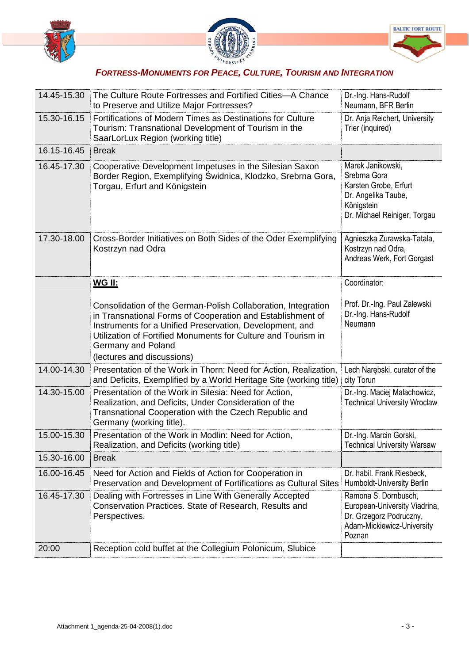



| 14.45-15.30 | The Culture Route Fortresses and Fortified Cities-A Chance<br>to Preserve and Utilize Major Fortresses?                                                                                                                                                                                                      | Dr.-Ing. Hans-Rudolf<br>Neumann, BFR Berlin                                                                                     |
|-------------|--------------------------------------------------------------------------------------------------------------------------------------------------------------------------------------------------------------------------------------------------------------------------------------------------------------|---------------------------------------------------------------------------------------------------------------------------------|
| 15.30-16.15 | Fortifications of Modern Times as Destinations for Culture<br>Tourism: Transnational Development of Tourism in the<br>SaarLorLux Region (working title)                                                                                                                                                      | Dr. Anja Reichert, University<br>Trier (inquired)                                                                               |
| 16.15-16.45 | <b>Break</b>                                                                                                                                                                                                                                                                                                 |                                                                                                                                 |
| 16.45-17.30 | Cooperative Development Impetuses in the Silesian Saxon<br>Border Region, Exemplifying Świdnica, Klodzko, Srebrna Gora,<br>Torgau, Erfurt and Königstein                                                                                                                                                     | Marek Janikowski,<br>Srebrna Gora<br>Karsten Grobe, Erfurt<br>Dr. Angelika Taube,<br>Königstein<br>Dr. Michael Reiniger, Torgau |
| 17.30-18.00 | Cross-Border Initiatives on Both Sides of the Oder Exemplifying<br>Kostrzyn nad Odra                                                                                                                                                                                                                         | Agnieszka Zurawska-Tatala,<br>Kostrzyn nad Odra,<br>Andreas Werk, Fort Gorgast                                                  |
|             | <u>WG II:</u>                                                                                                                                                                                                                                                                                                | Coordinator:                                                                                                                    |
|             | Consolidation of the German-Polish Collaboration, Integration<br>in Transnational Forms of Cooperation and Establishment of<br>Instruments for a Unified Preservation, Development, and<br>Utilization of Fortified Monuments for Culture and Tourism in<br>Germany and Poland<br>(lectures and discussions) | Prof. Dr.-Ing. Paul Zalewski<br>Dr.-Ing. Hans-Rudolf<br>Neumann                                                                 |
| 14.00-14.30 | Presentation of the Work in Thorn: Need for Action, Realization,<br>and Deficits, Exemplified by a World Heritage Site (working title)                                                                                                                                                                       | Lech Narebski, curator of the<br>city Torun                                                                                     |
| 14.30-15.00 | Presentation of the Work in Silesia: Need for Action,<br>Realization, and Deficits, Under Consideration of the<br>Transnational Cooperation with the Czech Republic and<br>Germany (working title).                                                                                                          | Dr.-Ing. Maciej Malachowicz,<br><b>Technical University Wroclaw</b>                                                             |
| 15.00-15.30 | Presentation of the Work in Modlin: Need for Action,<br>Realization, and Deficits (working title)                                                                                                                                                                                                            | Dr.-Ing. Marcin Gorski,<br><b>Technical University Warsaw</b>                                                                   |
| 15.30-16.00 | <b>Break</b>                                                                                                                                                                                                                                                                                                 |                                                                                                                                 |
| 16.00-16.45 | Need for Action and Fields of Action for Cooperation in<br>Preservation and Development of Fortifications as Cultural Sites                                                                                                                                                                                  | Dr. habil. Frank Riesbeck,<br>Humboldt-University Berlin                                                                        |
| 16.45-17.30 | Dealing with Fortresses in Line With Generally Accepted<br>Conservation Practices. State of Research, Results and<br>Perspectives.                                                                                                                                                                           | Ramona S. Dornbusch,<br>European-University Viadrina,<br>Dr. Grzegorz Podruczny,<br>Adam-Mickiewicz-University                  |
|             |                                                                                                                                                                                                                                                                                                              | Poznan                                                                                                                          |